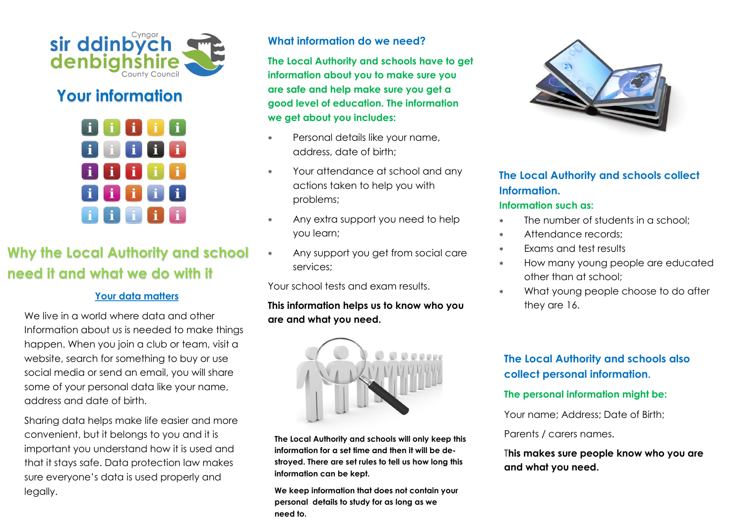

# **Your information**



# **Why the Local Authority and school need it and what we do with it**

#### **Your data matters**

We live in a world where data and other Information about us is needed to make things happen. When you join a club or team, visit a website, search for something to buy or use social media or send an email, you will share some of your personal data like your name, address and date of birth.

Sharing data helps make life easier and more convenient, but it belongs to you and it is important you understand how it is used and that it stays safe. Data protection law makes sure everyone's data is used properly and legally.

## **What information do we need?**

**The Local Authority and schools have to get information about you to make sure you are safe and help make sure you get a good level of education. The information we get about you includes:**

- Personal details like your name, address, date of birth;
- Your attendance at school and any actions taken to help you with problems;
- Any extra support you need to help you learn;
- Any support you get from social care services;

Your school tests and exam results.

**This information helps us to know who you are and what you need.**



**The Local Authority and schools will only keep this information for a set time and then it will be destroyed. There are set rules to tell us how long this information can be kept.**

**We keep information that does not contain your personal details to study for as long as we need to.**



# **The Local Authority and schools collect Information.**

#### **Information such as:**

- \* The number of students in a school:
- Attendance records;
- Exams and test results
- \* How many young people are educated other than at school;
- What young people choose to do after they are 16.

# **The Local Authority and schools also collect personal information.**

#### **The personal information might be:**

Your name; Address; Date of Birth;

Parents / carers names.

T**his makes sure people know who you are and what you need.**